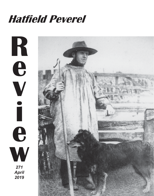# **Hatfield Peverel**



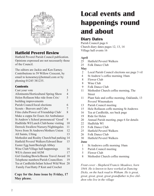

### **Hatfield Peverel Review**

Hatfield Peverel Parish Council publication. Opinions expressed are not necessarily those of the Council.

The editors are Jackie and Ken Earney. Contributions to 59 Willow Crescent, by email to kenearney@hotmail.com or by phoning 01245 381235.

### **Contents**

| Cast your vote                            | 3  |
|-------------------------------------------|----|
| Allotments/Horticultural Spring Show      | 4  |
| Helen Rollason bike ride from Crix/       | 5  |
| building improvements                     |    |
| Parish Council/local elections            | 6  |
| Scouts - Beavers and Cubs                 | 7  |
| Film clubs/Power of Friendship Club/      | 8  |
| Make a cuppa for Essex Air Ambulance      |    |
| St Andrew's School pronounced 'Good'      | 9  |
| Hadfelda WI/Lunch Club/home visiting      | 10 |
| Derreck Swallow/Nursery/Nightingales      | 11 |
| News from St Andrews/Mothers Union        | 12 |
| All Saints, Ulting                        | 13 |
| Methodist and Reality Church/bad parking  | 14 |
| Hatfield Peverel Walkers/Edward Bear      | 15 |
| Easter Egg hunt/Beeleigh Abbey            |    |
| Wine Club/Village hall happenings         | 16 |
| WEA classes and AGM                       | 17 |
| Girl Guiding/Bowls/Boons Travel Award     | 18 |
| Telephone numbers/Parish Councillors      | 19 |
| Tea at Cardfields/Infant School Wild West | 20 |
| Family Fun/Hatty P Knit and Crochet       |    |
|                                           |    |

#### **Copy for the June issue by Friday, 17 May please.**

## **Local events and happenings round and about**

### **Diary Dates**

Parish Council page 6 Church diary dates pages 12, 13, 14 Village hall events 16

### **April**

- 25 Hatfield Peverel Walkers
- 25 Folk Dance Club

#### **May**

- 2 Local Parish Council elections see page 3 vil
- 4 St Andrew's coffee morning 10am
- 8 Flower Club
- 8 Wine Club
- 9 Folk Dance Club
- 11 Methodist Church coffee morning, The **Street**
- 11 Plant Sale and coffee morning, Oaklands, 13 Peverel Winemakers
- 13 Parish Council meeting
- 15 Hele Rollason coffe morning St Andrews
- 16 Tea at Cardfields, see back page
- 19 Ride for Helen
- 20 Annual Parish meeting, page 6 for details
- 22 Hadfelda WI
- 23 Folk Dance Club
- 25 Hatfield Peverel Walkers
- 26 Folk Dance Club
- 30 Hatfield Peverel Walkers

#### **June**

- 1 St Andrews coffe morning 10am
- 3 Parish Council meeting
- 5 Flower Club
- 8 Methodist Church coffee morning

*Front cover - Shepherd Francis Meadows, born 1844. He is known to have worked at Dancing Dicks, on the back road to Witham. He is great, great, great, great, great grandfather to five children who live in the village*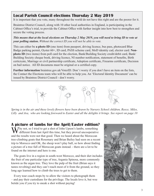### **Local Parish Council elections Thursday 2 May 2019**

It is important that you vote, many throughout the world do not have this right and are the poorer for it.

Braintree District Council, along with 10 other local authorities in England, is participating in the Cabinet Office's trial, to provide the Cabinet Office with further insight into how best to strengthen and secure the voting process.

*This means that at the local elections on Thursday 2 May 2019, you will need to bring ID to vote at your polling station***.** *Without the correct ID you will not be able to vote.*

This can either be **a photo ID** (one item) from passport, driving licence, bus pass, photocard Blue Badge parking permit, Oyster 60+, ID card, PASS scheme card, MoD identity cad, elector card. **Nonphoto ID** (two items) from poll card for the election, Bank/Building Society credit/debit card, Bank/ Building Society cheque book, driving licence, NI number notification, statement of benefits, Birth certicicate, Marriage or civil partnership certificate, Adoption certificate, Firearms certificate, Decision on bail notice. All ID documens must be original or a certified copy.

**Further information** braintree.gov.uk/VoterID. Don't worry if you don't have an item on the lists, the Contact the Elections team who will be able to help you. An 'Electoral Identity Document' can be issued by Braintree District Council - don't worry.



*Spring is in the air and these lovely flowers have been drawn by Nursery School children, Reece, Miles, Lilly and Ava, who are looking foreward to Easter and all the delights it brings. See report on page 10*

**A picture of lambs for the April/Easter edition?**

 $\sum$  *T* hy not, so I tried to get a shot of John Upson's lambs, something different from last April this time, but they proved uncooperative and the results were not that good. Then we heard about the Moroccan tree-climbing goats that Rosemary and Brian Bailey had seen on a recent trip to Morocco and OK, the sheep won't play ball, so how about finding a picture of a tree full of Moroccan goats instead. - there are a lot to be found on the internet and here is one.

The goats live in a region in south-west Morocco, and their diet includes the fruit of one particular type of tree, Argania Spinosa, more commonly known as the argan tree. They love the pulp of the fruit (Brian says it tastes revolting) and they can't reach most of it from the ground, so they long ago learned how to climb the trees to get to them.

Every tour coach stops by to allow the visitors to photograph them – and pay their custodians for the privilege. The locals love it, but woe betide you if you try to sneak a shot without paying!

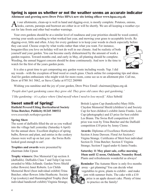### **Spring is upon us whether or not the weather seems an accurate indicator Allotment and growing news Drew Price HPAA new site letting officer www.hpaa.org.uk**

t our allotments, clean-up is well in hand and digging-over, is mostly complete. Potatoes, onions, **Th** leeks, carrots, parsnips and beetroot are either in or will be shortly. We are all keeping a weather eye out for late frosts and other bad weather warnings.

Your own gardens should be at a similar level of readiness and your priorities should be weed control, sowing your seeds according to what worked last year, and mowing your grass to acceptable levels. Re digging-over, little and often. A key for every gardener is to keep your weeds in check especially before

they can seed. Choose crops by what works rather than what you want. For instance, bougainvillea you love on holiday will not do well in our climate. And be realistic of both yourself and your garden. You can become easily disheartened by the amount of work a garden requires. Toward months end, and early in May, all planting should be complete. Weeding, the annual biggest concern should be done continuously. And now is the time to watch for the first of the years garden pests.



It is also a great time to get composting any garden waste including weeds. Yup. I did say weeds - with the exception of bind weed or couch grass. Check online for composting tips and ideas. And for garden enthusiasts who might wish for more room, come see us re an allotment plot. Call me, Drew at 0780 361 5062, or Steve Clarke at 07522 280980

Wishing you sunshine and the joy of your garden, Drew Price Email: chairman@hpaa.org.uk

*'People don't quit gardening cause they grow old. They grow old cause they quit gardening.' 'I like gardening - it's a place where I find myself when I need to lose myself.'* Alice Sebold

### **Sweet smell of Spring!**

**Hatfield Peverel/Ulting Horticultural Society Trina Butcher, Publicity 01245 380532** *www.essexinfo.nethatpevgardens*

#### **Spring Show**

The scent of daffodils filled the air as you walked into the village hall yesterday (Saturday 6 April) for the annual show. Excellent displays of spring bulbs, flowers and plant, and entries in the cookery classes were well up on last year - the Swiss Rolls looked good enough to eat!.

**Trophies and awards** were presented by chairman John Upson

**Trophy winners:** Doe Memorial Cup section A (daffodils). Daffodils Class 7 and Tulip Cup were awarded to Mike Jollands. Garden News Shield (other flowers) Janet Roberts. Les Childs Memorial Bowl (best individual exhibit) Trina Butcher; other flowers John Heathcote. Society Cup (cookery) and Hummingbird Trophy (best individual handicraft exhibit) Virginia Strange;

British Legion Cup (handicrafts) Mary Hills. Claydon Memorial Shield (children's) and Society Cup for best children's exhibit Jamie Franks. Lens Cup (photography) and £5 prize for best exhibit Les Brann. The Swiss Roll competition £10 prize was won by Trina Butcher and the Daffodil competition £10 prize by Jenny Clemo.

**Awards:** Diplomas of Excellence Horticulture Section A Irene Dawson. Floral Art Section C Virgina Strange. Certificates of Merit best individual Section D, Trina Butcher; Section E Virginia Strange; Section F (aged under 6) Jamie Franks.

**Saturday 11 May plant sale, coffee morning 10am until 12 noon, Oaklands, Nounsley Road.**  Plants and refreshments wonderful as always!



**Reminder** The Autumn Show is only five months away - get planning! You can decide what vegetables to grow, plants to exhibit - and make jam with summer fruits. The cake with a £10 prize is an apple dessert cake. Plenty of time to practice on the family!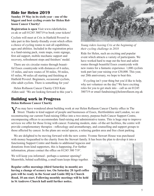### **Ride for Helen 2019**

**Sunday 19 May in its sixth year - one of the biggest and best cycling events for Helen Rollason Cancer Charity!**

**Registration is open** Visit www.rideforhelen. co.uk or call 01245 380719 to book your tickets!

Cyclists will meet at Crix in Hatfield Peverel to take part in this family-friendly event which offers a choice of cycling routes to suit all capabilities, ages and abilities. Included in the registration price is a fund-raising pack, route maps, route signage, first aid support, mobile mechanic support and recovery, refreshment stops and finishers' medal.

There are six circular routes through beautiful Essex countryside with distances of 6 miles, 15 miles, and new routes of 30 miles, 50 miles, 65 miles, 90 miles all starting and finishing at Hatfield Peverel. Beginners, occasional cyclists, elite adult cyclists. There is something for you!

Helen Rollason Cancer Charity CEO Kate Alden said: 'We are looking forward to this year's

### **Building work in Progress**

**Helen Rollason Cancer Charity**



*Young riders leaving Crix at the beginning of their cycling challenge in 2018*

Ride for Helen, such an exciting and popular event which attracts a variety of participants. We have worked hard to map out the best and safest routes through beautiful Essex countryside with new routes for a fantastic experience. 1,000 cyclists took part last year raising over £30,000. This year, our 20th anniversary, we hope to beat this.

If cycling isn't your thing but you'd like to help, why not volunteer on the day? We have exciting roles for you to get stuck into – call us on 01245 380719 or email fundraising@helenrollason.org.uk

You may have wondered about building work at our Helen Rollason Cancer Charity office in The Street. Thanks to kind support of people and businesses of Essex, Hertfordshire and London, we are reconstructing our current Fund-raising Office into a two-storey, purpose-built Cancer Support Centre, encompassing offices to accommodate fund-raising and administrative teams. This is huge step to improve services we offer for those living with cancer. Featuring modern, state- of-the-art facilities, the centre will provide complementary therapies - reflexology and aromatherapy, and counselling and support groups to those affected by cancer. In the plans are social spaces, a relaxing garden area and free client parking.

We are delighted to be moving forward with the new centre. Yvonne Stewart House was purchased with money bequeathed to the charity from the Stewart family. It has been the plan to develop it into a

functioning Support Centre and thanks to additional legacies and donations from kind supporters, this is happening..For further information, please contact the office on 01245 380 719'.

We will keep you informed - perhaps a summer opening? Meanwhile, behind scaffolding, a small team keeps things together.

**Regular coffee mornings (third Saturday in month) are having a change of scenery too. On Saturday 20 April coffee pots will be ready in the Scout and Guide HQ in Church Road, 10 am start. Following monthly meetings will be held in St Andrews Church hall until further notice.** 

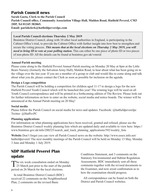### **Parish Council news**

**Sarah Gaeta, Clerk to the Parish Council Parish Council office, Community Association Village Hall, Maldon Road, Hatfield Peverel, CM3 2HP, Tel 01245 382865. Email: parishclerk@hatfieldpeverelpc.com**

#### **Local Parish Council elections Thursday 2 May 2019**

Braintree District Council, along with 10 other local authorities in England, is participating in the Cabinet Office's trial, to provide the Cabinet Office with further insight into how best to strengthen and secure the voting process. *This means that at the local elections on Thursday 2 May 2019, you will need to bring ID to vote at your polling station***.** This can either be one piece of photo ID or two pieces of non-photo ID. All the details can be found at braintree.gov.uk/voterid

#### **Annual Parish meeting**

Please come along to the Hatfield Peverel Annual Parish meeting on Monday 20 May at 8pm at the Little Bears Nursery (formerly the Salvation Army Hall), Maldon Road, to hear about what has been going on in the village over the last year. If you are a member of a group or club and would like to come along and talk about what you do, please contact the Clerk as soon as possible for inclusion on the agenda.

#### **Design a Logo competition**

The Parish Council will be holding a competition for children aged 11-17 to design a logo for the new Hatfield Peverel Youth Council which will be launched this year! The winning logo will be used on all Youth Council correspondence and will be printed in a forthcoming edition of The Review. Please look out for further information on how to enter on the website, social media and notice boards. The winner will be announced at the Annual Parish meeting on 20 May!

#### **Social media**

Please follow the Parish Council on social media for news and updates: Facebook: @hatfieldpeverelpc Twitter: @HatPevPC

### **Planning applications**

For information on what planning applications have been received, granted and refused, please see the Braintree District Council weekly planning lists which are updated daily and available to view here: https:// www.braintree.gov.uk/info/200225/search\_and\_track\_planning\_applications/592/weekly\_lists

**Website** Don't forget you can view all Parish Council news on the website: http://www.essex.info.net/ hatfieldpeverel/ The next monthly meetings of the Parish Council will be held on Monday 13 May, Monday 3 June and Monday 1 July 2019.

### **NDP Hatfield Peverel Plan update**

The six week consultation ended on Monday<br>25 March just prior to the start of the purdah period on 26 March for the local elections.

In total Braintree District Council (BDC) received 22 comments on the Neighbourhood Plan, 2 comments on the revised Basic

Conditions Statement, and 3 comments on the Statutory Environmental and Habitat Regulation Assessments. BDC immediately sent all these comments together with the revised documents to the Examiner, and now await confirmation as to how the examination should progress.

All correspondence can be found on both the District and Parish Council websites.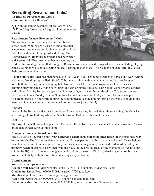### **Recruiting Beavers and Cubs! 1st Hatfield Peverel Scout Group (Boys and Girls 6 - 18 years)**

With the longer evenings, all sections will be looking forward to taking part in more outdoor activities.

#### **Recruitment for new Beavers and Cubs**

The waiting list for Beavers and Cubs has been closed recently but we're pleased to announce that it is now open and the section is able to recruit children from Hatfield Peverel, Langford and Ulting. Ou**r Beaver Scout Colony** has members aged between 6 and 8 years old. They meet together as a Colony and



work within small groups called 'Lodges'. Beavers take part in a wide range of activities, including playing games, going on visits, investigating nature, listening to stories etc. Their leadership team carefully selects their programme of activities.

**Our Cub Scout Pack** has members aged 8-10½ years old. They meet together as a Pack and work within a variety of small groups called 'Sixes'. Cubs take part in a wide range of activities that are designed to be both interesting and challenging but also fun. They take part in a programme of activities such as: camping, playing games, trying new things and exploring the outdoors. Cub Scouts work towards awards and badges. Activity badges are specialist interest badges that can further develop a Cub Scout's interest. Beavers meet on a Monday from 4:30pm to 5:45pm; Cubs meet on Fridays from 6:15pm to 7:45pm. If you are interested in your child joining the section please see the joining form on the website or email the membership contact below. (http://www.hpscouts.org.uk/join-us.html)

#### **Beavers**

In March the Beavers had a visit from Essex Police where they learned about fingerprinting, the Cubs had an evening of box building while the Scouts took on Parkour with team kinetics.

#### **Hall hire**

The cost of the hall hire is £12 per hour. Please see the website or use the contact details below. http://www. hpscoutandguidehq.org.uk/index.html

#### **Newspaper and cardboard collection**

The 1st Hatfield Peverel Scout Group **paper and cardboard collection takes place on the first Saturday in the month.** The Scouts receive payment for all the paper and cardboard that is collected. Please help us raise funds for our Group and please put your newspapers, magazines, paper and cardboard outside your property, where it can be clearly seen from the road, on the first Saturday of the month or deliver it to our skip in the HQ car park at any time (paper and card only please – NO glass, plastics, garden rubbish etc.). Volunteers to help with the collection are always very welcome.

### **Useful contacts**

**Website:** www.hpscouts.org.uk **Group Scout Leader:** Nick Nicholas; 07841 597977, nicknicholas1990@gmail.com **Chairman:** Simon Reed; 07990 580985, sgreed1972@gmail.com **Membership:** John Dinnen; hpscoutgroup@gmail.com **Hall hire:** Debbie Fuller; 07920 512471, copper\_ben@hotmail.com Paper collection: Jonathan Dormon; 01245 382981, jonathan.dormon@btinternet.com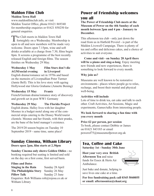### **Maldon Film Club Maldon Town Hall**

www.maldonfilmclub.info, or visit Maldon Tourist Office, phone 01621 869340 for membership enquiries or 01621 850250 for general enquiries.

The Club meets in Maldon Town Hall<br> **T** fortnightly on a Wednesday. Membership is open to all and new members will be made very welcome. Doors open 7.15pm, wine and soft drinks available at a charge from 7.30, films begin 8pm. It screens a programme of the best recently released English and foreign films. The season finishes on Wednesday 29 May.

### **Wednesday 1 May Film Stars don't die AGM/social evening in Liverpool**

English drama/romance set in 1970s and based on the memoirs of Liverpudlian Peter Turmer (Jamie Bell). This is his love story with ageing Hollywood star Gloria Grahame (Annette Bening)

### **Wednesday 15 May Frantz**

French/German drama/romance story of discovery and growth set in post WW1 Germany

**Wednesday 29 May The Florida Project** English drama. Halley lives with her daughter Moonee in a budget motel along one of the commercial strips catering to the Disney World tourist clientele. Moonee and her friends, with their pranks, are the bane of the hotel manager's existence.

The 2019/20 season begins on Tuesday 10 September 2019 - same time, same place!

### **Sunday Cinema, Witham Library**

**Doors open 2pm, film starts at 2.30pm**

**Sunday Cinema only shows Golden Oldies -** no booking required but seating is limited and sold on the day on a first come, first served basis.

### **Films and Dates**

**Singing in the Rain** Sunday 28 April **The Philadelphia Story** Sunday 26 May **Pillow Talk** Sunday 23 June Enquiries: Rob Williams rob@rojosa.co.uk or Witham Library

### **Power of Friendship welcomes you all**

**The Power of Friendship Club meets at the Museum of Power on the 4th Sunday of each month between 2pm and 4 pm - January to December.**

This afternoon tea club - only just down the road from us in Hatfield Peverel - is part of the Maldon Livewell Campaign. There is plenty of tea and coffee and delicious cakes, and a choice of activities to suit everyone.

**Come and visit - on Sunday 28 April there will be a piano and sing-a-long**. Enjoy meeting new friends and new experiences, there is something to look forward to every month.

#### **Why join us?**

Museums are well known to be restorative environments - places where people go to relax, recharge, and boost their mental and physical well-being.

#### **Activities will include**

Lots of time to drink tea, eat cake and talk to each other. Craft Activities, Art Sessions, Magic and experiments, Games/talks from interesting people.

#### **We look forward to sharing a fun time with you every month**

#### **Price £2 per person, per session**

To book, please contact Debbie or James on 01621 843183 or email powerof75@museumofpower.org.uk

### **Tea, Coffee and Cake**

**Saturday 1st - Sunday 30th June**

**Host your very own British Afternoon Tea** and raise funds for Essex & Herts Air Ambulance.



Just bake and donate, helping to save lives one cake at a time.

**For free fundraising pack call 0345 5040055 or email: afternoontea@ehaat.org**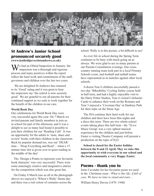

### **St Andrew's Junior School pronounced securely good (www.hatfieldpeverelstandrews.co.uk)**

We had an Ofsted Inspection in January: the inspection was a thorough and rigorous process and many positives within the report reflect the hard work and commitment of the staff, governors and children over the last two years.

 We are delighted St Andrews has returned to its 'Good' rating and it was great to hear the inspectors say 'the school is now securely good'. We are grateful to our all parents for their continued support as we seek to work together for the benefit of the children in our care.

#### **World Book Day**

Our celebrations for World Book Day were very successful again this year. On 7 March we invited parents and family members to join us in school for part of the afternoon, and it was a delight to see so many had found it possible to join their children for our 'Reading Café'. It was an opportunity for the adults to 'taste, share and review' books with their children in the classroom. Back by popular demand too, was our 'DEAR' time – 'Drop Everything and Read' – when a 15 minute time slot is given over to quiet reading in the middle of the day!

The 'Design a Potato to represent your favourite book character' was very successful. There were some amazingly creative and imaginative entries for the competition which was also great fun.

On Friday 8 March (see us all in the photograph above) we enjoyed a 'Where's Wally' theme day and there was a rich colour of costumes across the

school. Wally is in this picture, a bit difficult to see!

As ever life in school during the Spring Term continues to be busy with much going on as always. We were glad to see so many parents at our Parents Consultation evenings. Our crosscountry running team took part in a local Primary Schools event, and football and netball teams have represented us in matches against other local schools.

A dozen Year 6 children successfully passed a two day 'Bikeability' Cycling Safety course held in half term, and had a highly enjoyable visit to the Harry Potter Studios, Year 4 visited Colchester Castle to enhance their work on the Romans and Year 3 enjoyed a 'Caveman Day' at Danbury Park for their topic on the Stone Age.

The JSA continue their hard work for our children and there have been film nights and a disco this term. There are two whole-school events taking place this half term - the '5Live Music Group' was a very upbeat musical experience for the children and just before Easter a visiting Theatre Company will present a production on the topic of  $H_2O$ .

**School is closed for the Easter holiday between the 8 and 22 April. May we take this opportunity to wish everyone in our school and the local community a very Happy Easter**.

### **Poems - thank you to**

Irene Cavender for her favourite poem we used in the Christmas issue - *What is this life, if full of care, We have no time to stand and stare ...*

William Henry Davies (1870 -1940*)*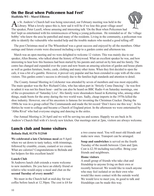### **On the Beat when Policemen had Feet' Hadfelda WI - Marel Elliston**

As St. Andrew's Church hall was being renovated, our February meeting was held in the Library. What a lovely space this is, how sad it will be if we lose this great village asset! The speaker, Peter Lazell, whose amusing and interesting talk 'On the Beat when Policemen had



feet' kept us entertained with his reminiscences of being a young policeman. He reminded us of the 'village bobby' who knew the area he patrolled and many of the residents. Living in the community, a policeman was able to identify the vulnerable who needed help and the trouble makers who needed a good telling off!

The post Christmas meal at The Wheatsheaf was a great success and enjoyed by all the members. Other outings and future events were discussed including a trip to a garden centre and afternoon tea.

March was an open meeting and we were delighted to welcome 12 visitors. This was mainly due to our speaker, Allen Bourne, who talked about the history of Perrywood. What an excellent speaker he was, and how interesting to hear how this business had been started by his parents and carried on by him and his family. The centre has changed and expanded over the years and now boasts an amazing selection of garden and house plants as well as garden furniture, books, cards, clothing and many other items. When they first decided to open the cafe, it was a bit of a gamble. However, it proved very popular and has been extended to cope with all the extra visitors. This garden centre's success is obviously due to the families high standards and attention to detail.

The County Annual Meeting in Colchester was attended by seven of members and was most enjoyable. The main speaker was the Rev Richard Coles, who has taken part in 'Strictly Come Dancing' - he was first to admit it was not his finest hour - and he can also be heard on BBC Radio 4 on Saturday mornings, one of the co-presenters of 'Saturday Live'. His family were shoemakers based in Kettering who, among other things, made boots for the army during the two world wars. Sadly, cheap imports in the 1970s killed the shoe industry. However, one of his ancestors is famous for inventing the Christmas Cracker. During the 1980s he was in a group called The Communards and made the hit record 'Don't leave me this way'. In his thirties he went to college and became a Church of England priest. In the afternoon we were entertained by 'Abba Rival' who had everyone singing and dancing in the aisles.

Our Annual Meeting is 24 April and we will be serving tea and scones. Happily we are back in St. Andrew's Church Hall with it's lovely new kitchen. Our meetings start at 2pm, visitors are always welcome.

### **Lunch club and home visitors**

#### **Belinda Hull, 01376 512540**

**We celebrated a late Christmas meal** on 9 April when we sat down to tasty turkey, with trimmings, followed by crumble, cream, custard or ice cream. What are calories? Congratulations to Belinda and her helpers for this excellent lunch!

#### **Lunch Club**

St Andrews lunch club extends a warm welcome to new members. Do you have an elderly friend or relative who would enjoy a meal and chat on the **second Tuesday of every month?**

We meet in the Church hall at mid-day for tea/ coffee before lunch at 12.30pm. The cost is £4 for a two course meal. You will meet old friends and make new ones. Transport can be arranged.

**Soup and sandwiches** is served on the fourth Tuesday of the month between 12am and 2pm. Cost is £2.50 including tea/coffee. Bring your friends and neighbours.

#### **Home visitors**

A small group of friends who take chat and friendship to anyone living on their own or recently bereaved. We would like to reach anyone who may feel isolated or on their own who would like more contact with the outside world. We would love to meet you, its good to talk and friendships can be made this way.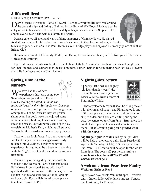### **A life well lived**

### **Derrick Joseph Swallow (1931 - 2019)**

**Derrick spent 43 years in Hatfield Peverel.** His whole working life revolved around the sea and ships and fittingly 'Sailing' by the Band of HM Royal Marines was the sea and ships and fittingly 'Sailing' by the Band of HM entry music to his service. He travelled widely in his job as a Chartered Ship's Broker, ending over eleven years with his family in Nigeria.

Derrick enjoyed all sport and was a lifelong supporter of Grimsby Town. He played football, and cricket for his school, and was a late convert to the pleasures of Rugby, thanks

to his very good friends Ann and Paul. He was a keen bridge player and enjoyed his weekly games at Witham Bridge Club.

He was very proud of his family: Phillip and Debra, his son in law Shaun, and his five grandchildren and 4 great grandchildren.

Pip Swallow and family would like to thank their Hatfield Peverel and Boreham friends and neighbours for their kindness and support over the last 6 months, Father Stephen for conducting both services, Howard and Julie Southgate and the Church choir.

### **Spring time at the Nursery**

 $\sum$  *J* e have had lots of new  $\vee$  experiences this term, using two Saints days. We joined in St David's Day by looking at daffodils *(thank you to the children for their Spring flower drawings on page 3)*, this developed into exploring growing other plants. For St Patrick's Day we printed shamrocks. For book week we enjoyed some familiar stories, building houses out of sticks, straw and bricks. Our Mummies came in to play to celebrate Mother's Day, which we all enjoyed. We would like to wish everyone a Happy Easter.

Next term we look forward to our two favourite weeks of the year when the eggs arrive ready to hatch into ducklings, a truly wonderful experience. It is going to be a busy term working with the 'big' school to aid the children's smooth transition.

The nursery is managed by Belinda Wakelin who has a BA Degree in Early Years and holds Early Years Professional Status with a well qualified staff team. As well as the nursery we run sessions before and after school for children up to 8 years old. For availability of spaces please telephone 01245 382450.

### **Nightingales return**

Today (10 April and slightly **l** later than last year)) the first nightingale was sighted at Essex Wildlife Trust's centre at Fingringhoe Wick.



These welcome birds will soon be filling the air with their magical song - and Fingringhoe is one of the best places to hear them. Nightingales don't sing to order, but if you are visiting during the day, **the centre opens from 9am - 5pm,** there is a good chance you will hear - and sometimes - see them. **But it is worth going on a guided walk with the experts.**

**Nightingale guided walks**, led by ranger Alex, will be held at the reserve daily from Tuesday 23 April until Tuesday 14 May, 7.30 every evening until 9pm. The Reserve will be open for the walks from 6pm. The cost is £7 per person **and you must book - telephone 01206 729678, www.essexwt.org.uk**

### **A welcome from Pear Tree Pantry Wickham Bishops Road**

Open seven days week, 9am until 3pm. Breakfast until 12noon, followed by lunch and tea, Sunday breakfast only, 9 - 12 noon,

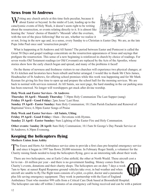### **News from St Andrews**

 $\sum$  *T* riting any church article at this time feels peculiar, because it about Easter or beyond. In the midst of Lent, leading up to the cataclysmic events of Holy Week, it doesn't seem right to be writing about the resurrection, or events relating directly to it. It is almost like hearing the 'Amen' chorus of Handel's 'Messiah' after the overture, with the rest of the piece following! But we are, whether we realize it



or not, living in the new age and, in a sense, every Sunday to a Christian is Easter Day. We are, as the late Pope John Paul once said 'resurrection people'.

What is happening at St Andrews and All Saints? The period between Easter and Pentecost is called the Great 50 Days and gospel readings concentrate on the resurrection appearances of Jesus and sayings that prefigure the resurrection. This sense of a new beginning is reinforced in church by choice of readings. For seven weeks Old Testament readings (or Old Covenant) are replaced by the Acts of the Apostles, whose stories show how the early church began and spread, and many of the problems it faced!

On the theme of newness and freshness visitors to our churches will experience two physical changes; at St A's kitchen and lavatories have been rebuilt and better arranged. I would like to thank Mr Chris James, Headteacher of St Andrews, for offering school premises while this work was happening and for Mr Mark Keenan for giving his free time to open up and prepare the school hall for the morning services. We are back to normal with services restored. At All Saints, see next page, the hard standing in the car parking area has been renewed. No longer will worshippers get stuck after divine worship.

#### **Holy Week and Easter Services - St Andrews**

**Thursday 18 April - Maundy Thursday**: 7.30pm Holy Communion The Last Supper (sung) **Friday 19 April - Good Friday:** 2pm Jesus' Last Hour. **Sunday 19 April - Easter Sunday:** 8am Holy Communion; 10.15am Parish Eucharist and Renewal of Baptismal Vows; 6.30pm Easter Songs of Praise

#### **Holy Week and Easter Services - All Saints, Ulting**

**Friday 19 April - Good Friday:** 10am - Devotions with Hymns. **Sunday 21 April - Easter Sunday:** 9am Lighting of the Easter Fire and Holy Communion.

**Other events:** S**unday 28 April:** 8am Holy Communion; 10.15am St George's Day Parade Service at St Andrews; 6.30pm Evensong.

### **Keeping the helicopters flying**

**Mothers Union Jean Ashby**

The Essex and Herts Air Ambulance service aims to provide a first class pre-hospital emergency service **1** and since it began in 1997 has flown 20,000 missions. In February Roger Smith, a volunteer for the Charity raising funds needed to keep the helicopters flying, gave us an interesting talk about their work.

There are two helicopters, one at Earls Colne airfield, the other at North Weald. These aircraft cost a lot to run - £6 million per year - and there is no government funding. Money comes from the Charity's events, donations and their charity shops. The helicopters are on duty 7 days a week 7am to 9pm: at sunset Rapid Response ground vehicles take over, in bad weather and when aircraft are unable to fly.The flight team consists of a pilot, co-pilot, doctor and a paramedic plus life saving emergency equipment. They work in partnership with the East of England Ambulance Trust who monitor 999 calls from a Critical Care Desk based at Broomfield Hospital.



The helicopter can take off within 2 minutes of an emergency call being received and can be with a patient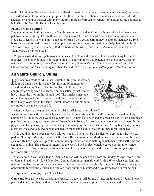within 15 minutes. Once the patient is stabilised (sometimes emergency treatment at the scene) he or she is airlifted to the hospital most appropriate for their condition. If there is a major incident - a road traffic accident or a natural disaster with many victims, more aircraft can be called from neighbouring counties to help (Suffolk, Norfolk, Kent or Lincolnshire).

#### **Patchwork and quilting**

Due to continuing building work our March meeting was held at Virginia's home where the theme was patchwork and quilting. Elizabeth read an article about Elizbeth Fry who helped women prisoners in Newgate to learn to sew and knit: once out of prison they could earn money to support themselves. Two books were mentioned: stories about people who used sewing or quiltmaking to help them through life. *Threads of Life* by Claire Hunter (a Radio 4 book of the week), and *The Last Seams Mistress* by Liz Trenow are worthy of a read.

Virginia showed various patchwork samples and explained different techniques of sewing the items together - piecing over papers or making blocks - and explained that patchwork patterns have different names such as Seminole, Bear's Paw, Secret Garden, Grandma's Fan. The afternoon ended with the Churchwarden and Vicar serving members tea and cake! (*April's report will appear in the June edition.)*

### **All Saints Church, Ulting**

**Tistory was made at All Saints Church, Ulting on the evening**  $\text{Lof } 6$  March when it was the first time in living memory an Ash Wednesday Service had taken place at Ulting. The congregation sang from the heart so enthusiastically that it must have rattled the tiles on the Church roof. The timeless message of the hymns would have resonated with those who had sung them many years ago in the same Church before all our modern technology became a way of life.



After the Service the great community spirit at All Saints showed itself when everyone rallied round to help a car that had become stuck in the mud! However, this will no longer be a problem as, since the Ash Wednesday Service, All Saints has a new and enlarged car park. It has been made possible through the great generosity of Ernest Doe & Sons, who provided the labour and machinery for the project, and the generous people who have given money for the materials needed. A very big thank you to all at Ernest Does and to everyone who donated so much and so quickly after the appeal was launched.

This could not have been achieved without you all. There will be a Dedication Service for the new car park on Sunday 5 May at 9am when Cllr Henry Bass, Chairman of Maldon District Council, will be guest speaker. He has a special regard for community spirit, which is something which manifests itself time and again at All Saints. His particular interest is the Men's Shed Project which creates a community venue for men at risk of social isolation to meet up and learn practical skills and I'm sure this will get a special mention during his visit.

Make a note in your diary that All Saints Church will be open to visitors on Sunday 28 April from 11am to 5pm and again on Friday 3 May from 2pm to 5pm in partnership with Ulting Wick whose gardens and magnificent displays of tulips are also open on those days as part of the Open Gardens Charity. It is a great opportunity to visit the Church and find out more about its history and enjoy its peaceful surroundings.

Prayers and blessings, Revd Derek Clark.

**Come and join us** - we are arranging a Musical Concert at All Saints, Ulting, on Saturday 29 June. Please put the date in your diary and look for further details in the June copies of The Review and Parish magazine.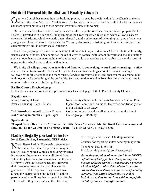### **Hatfield Peverel Methodist and Reality Church**

Our new Church has moved into the building previously used by the Salvation Army Church on the site of the Little Bears Nursery in Maldon Road. The facility gives us extra space for craft tables for our families and more opportunities to experience new and inventive community worship.

Our recent services have covered subjects such as the temptations of Jesus as part of our preparation for Easter (illustrated with a cartoon), the meaning of the Cross on which Jesus died which allows us access to eternal life (during which we made paper planes!) and the enjoyment of belonging to a group (when our younger members made us invitation cards). We enjoy discussing or listening to ideas which emerge from each morning's talk in a very social gathering.

In addition, a group of us have been meeting to think about ways to share our Christian faith with family, friends and neighbours. The course has looked at ways to connect with others, in work and social situations and we hope that we are learning how to be more open with one another and also able to make the most of opportunities which arise to share with others.

**We invite all villagers and your friends and families to come along to our Sunday meetings** – coffee and refreshments are usually on the table by 9 o'clock and our meetings start at 9.15am with songs followed by an illustrated talk and more music. Services are very relaxed; children can move around, play with toys or make something at the craft table. Services are due to end at 10am but there is always time for more refreshments and a further get together.

#### **Reality Church Facebook page**

Follow our events, information and pictures on our Facebook page Hatfield Peverel Reality Church

| <b>Regular events</b>                           |  |
|-------------------------------------------------|--|
| <b>Every Sunday 9.15am</b>                      |  |
| $\Gamma$ <i>vory</i> Thursday $10$ om $12$ noor |  |

**3rd Monday in month** 7.30pm - 9pm House group Bible study

New Reality Church at Little Bears Nursery in Maldon Road **Every Thursday** 10am - 12 noon Open Door - come and join us for tea/coffee and friendly chat at our Church in the Street **2nd Saturday in month** 10am - 12 noon Coffee morning and cake stall at our Church in the Street

### **Special dates**

**21 April Easter Day Service 9.15am at the Little Bears Nursery in Maldon Road Coffee morning and cake stall at our Church in The Street , 10am - 12 noon** 21 April, 11 May, 8 June

### **Badly/illegally parked vehicles**

**North Essex Parking Partnership NEPP advice**

North Essex Parking Partnership encourages the receipt by them of reports and images of badly/illegally parked vehicles, including repeated instances of the same vehicle on different days. Where they have an enforcement team in the area, NEPP will visit and act as necessary. However, their resources are stretched and they cannot guarantee a 100% response. They cannot issue a Penalty Charge Notice on the basis of a third party image but will use that image to identify the vehicle when they visit, and can then take their

own images and issue a PCN if appropriate.

Contacts for reporting and/or sending images are:

Telephone: 01206 282316 Email: parking.central@colchester.gov.uk

*At the time of publication we don't have NEPP's definition of badly parked: it may or may not include vehicles parked on pavements, a practice which is highly anti-social and can in certain circumstances be dangerous for users of mobility scooters, wide child buggies etc. We aim to include an update in the June edition, hopefully including this missing information.*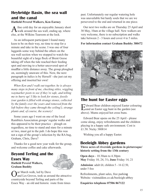### **Heybridge Basin, the sea wall and the canal**

### **Hatfield Peverel Walkers, Ken Earney**

A fine cold day for an enjoyable January short<br>
walk around the sea wall, ending up, where else, at the Wilkins Tearoom at the lock.

As an infrequent participant I found many keen to be on their way, no time to stop for a minute and take in the scene. I was one of four laggards some way behind the others on the sea wall section when we stopped to watch the beautiful sight of a large flock of Brent Geese taking off when the tide reached their feeding spot and moving to a better uncovered spot of mudflat a little distance away. The group ploughed on, seemingly unaware of this. Now, the next paragraph in italics is by Herself - she just cut my offering and inserted her own!

*When Ken and I walk out together, he is always many steps in front of me, checking stiles, wiggling waymarker posts to see if they're safe, and telling me to hurry up! I like to look for stones, fossils (our garden is filled with strange stones, collected by the family over the years and removed from the loft before they came through the ceiling!), strange plants and, of course, the scenery!*

Some years ago I went on one of the local Ramblers Association groups' regular walks and this appeared to be their practice – plough on regardless, no time to stand and stare for a minute or two, must get to the pub. I do hope this was not a sign of the group's infection by the RA bug, Graham, Chris, Dave?

Thanks for a good new year walk for the group, and welcome coffee and cake afterwards.

### **Beyond Terling and the Essex Way**

**Hatfield Peverel Walkers, Graham Bushby**



Our March walk, led by Dave and Les Groves, took us around the attractive countryside beyond Terling and parts of the Essex Way - an old and historic route from times

past. Unfortunately our regular watering hole was unavailable but hardy souls that we are we persevered to the end and returned in one piece.

Our next two walks are on Thursday 25 April and 30 May, 10am at the village hall. New walkers are very welcome, there is no subscription and walks take between 2 - 3 hours and cover 4 to 5 miles.

### **For information contact Graham Bushby 380472**



### **The hunt for Easter eggs**

Edward Bear children enjoyed Easter colouring and an Easter egg hunt in the garden (see above). Mums enjoyed hot cross buns.

Edward Bear opens on the 25 April - please come along, enjoy refreshments and the children playing in a happy safe environment. Cost is £1.50. Nicky 380814

Wishing you all a happy Easter.

### **Beeleigh Abbey gardens**

**Three acres of riverside gardens in picturesque/ historic setting from the 13th century**

**Open days** - 10.30am to 4.30pm **May** Friday 10, 24, 31**; June** Friday 14, 21

**Admission**: adult £6; children 5 - 16 £2.50, under 5 free

Refreshments, plant sales, free parkin**g** Website: visitmaldon.co.uk/beeleigh-abbey

**Enquiries telephone 07506 867122**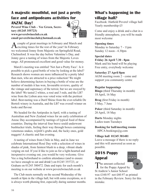### **A majestic mouthful, not just a pretty face and antipodeans activities for ANZAC Day!**

**Peverel Wine Club – Vee Green, Secretary (01245 355723) www.peverelwineclub.co.uk email peverelwineclub@hotmail.co.uk** 



A couple of great meetings in February and March and  $\sum$  exciting times for the rest of the year! In February we welcomed Jonny from Majestic on Springfield Road, Chelmsford. It was the day before Valentine's Day, and Jonny gave a tasting of wines from the Majestic Loves range. All pronounced excellent and good value for money.

March's meeting was entitled 'Not Just a Pretty Face'. Is it possible to pick a good bottle of wine by looking at the label? Research shows women are more influenced by a pretty label than men, who are attracted to a price reduction! We might believe determining factors in buying a bottle of wine are the number of medals it has won, favourable reviews, quality of the vintage and supremacy of the terroir, but we are swayed by the label! We tasted 2 whites, a rosé and 3 reds, and the LB7 wine from the Lisbon area was voted wine with the prettiest label. Best-tasting was a Durif Shiraz from the ever-reliable De Bortoli winery in Australia, and the LB7 was overall winner on looks and flavour.

We headed for the Antipodes in April, with a tasting of Australian and New Zealand wines for an early celebration of Anzac Day accompanied by tastings of typical food of these countries. During the interval four brave sould underwent bushtucker trials, feeling their way through boxes containing venemous snakes, wijitiIt's grubs and, the lucky ones, gold nuggets! A chaotic and fun evening.

A tasting of wines from Chile in May, and in June we celebrate International Rosé Day with a selection of wines in shades of pink, from faintest blush to a deep, vibrant shade verging on red. If you'd like to join us for a light-hearted and inexpensive evening out, you would be very welcome. Give Vee a ring beforehand to confirm attendance (and to ensure we have enough to eat and drink!) on 01245 355723, or Graham on 01245 380472. Date and topic for each month's meeting is on our website at www.peverelwineclub.co.uk

The Club meets normally on the second Wednesday of the month at 8pm in the village hall, but with some exceptions, so it is always worth phoning first, especially during summer months.

### **What's happening in the village hall?**

Facebook: Hatfield Peverel village hall Yearly membership £5

Come and enjoy a drink and a chat in a friendly atmosphere, you will be made most welcome

#### **Opening times**

Monday to Saturday 7 - 11pm Sunday 12 noon - 4.30pm

**Special dates Friday 26 April 7.30 - 8pm**  Mark and his band will be playing Free entry, everybody welcome

**Saturday 27 April 8pm** AGM meeting room 2 - come and support you community centre

#### **Regular happenings**

**Bingo** (third Thursday in month) 18 April, 16 May

**Brag** (first Friday in month) 3 May, 7 June

**Poker** (third Saturday in month) 20 April, 18 May

**Darts** Monday nights Ladies team Tuesdays

**Booking for hall/meeting rooms** HPCA bookings@g.com

#### **Village hall 01245 381481**

Leave a message if there is no reply and this will answered as soon as possible.

### **2018 Poppy Appeal**



LEGION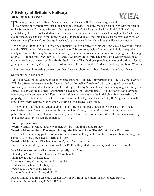### **A History of Britain's Railways**

#### **Men, money and power**



The spring course, led by Roger Mannion, started in the early 1800s, pre-railway, when the **I** sole means of transport were canals and poor quality roads. The railway age began in 1825 with the opening of the Stockton and Darlington Railway (George Stephenson's Rocket) and the Rainhill trials followed five years later by the Liverpool and Manchester Railway. Our railway network expanded throughout the Victorian era, fortunes made and lost in the 'Railway Mania' in the mid-1800s, they brought social change - easier, faster, cheaper travel (Thomas Cook, George Bradshaw), but many made homeless through railway construction.

We covered signalling and safety developments, the great railway engineers, one week devoted to Brunel and the GWR in the 19th century, and later in the 20th century Gresley, Stanier and Bulleid, the gradual amalgamation of the many Victorian era railway companies into a smaller number of larger groups, leading after WW1, to the final 'big four', LMS, LNER, Southern and GWR. The first World War brought social change involving women significantly for the first time. That final grouping lead to nationalisation in 1948, giving British Railways' six regions – Eastern, North Eastern, London Midland, Scottish, Southern, Western.

For me a most interesting course – but then, I was a schoolboy railway fanatic in the days of steam.

#### **Suffragettes in NE Essex'**

At our AGM on 26 March, speaker Dr Jane Pearson's subject, 'Suffragettes in NE Essex', first clarified  $\Gamma$  the difference between the Suffragettes (led by Emmeline Pankhurst) who campaigned for votes for women by protest and direct action, and the Suffragists, led by Millicent Fawcett, campaigning peacefully for change by persuasion. (Neither Pankhurst nor Fawcett were East Anglians.). The Suffragists were far more numerous, and prominent in NE Essex. In the 1880s the vote was not the initial objective: ownership of property, access to education/professions, repeal of the Contagious Diseases Act (DDA legislation which bore down overwhelmingly on women working as prostitutes) came first.

The women' suffrage movement gained support from a number of areas in NE Essex. Many men, Colchester Town Council, the Cortaulds: the Benham family, notably Mary Benham, through their publication of the 'Essex Standard' were very supportive. The combined efforts of the women's' campaign first achieved a limited female franchise in 1918).

#### **Future programmes**

**Evening talks**, in October and November, will be listed in the June Review

**Tuesday 24 September, 'Footsteps Through the History of our Streets'**, tutor Lucy Rawlinson Discover the interesting past of some less famous towns of England from the history of their buildings and streets to the role they played in British history.

**Tuesday 14 January, 'The Jazz Century'**, tutor Graham Platts Embark on a decade by decade journey from 1900, with guided commentary and musical examples

**WEA Essex summer walks** (duration typically 1½ - 2 hours) Thursday 9 May, Alresford Creek and Wivenhoe, £8 Thursday 23 May, Halstead, £5 Tuesday 4 June, Manningtree and Mistley, £5 Wednesday 19 June, Tollesbury, £5 Wednesday 10 July, Harwich, £6 Tuesday 3 September, Coggeshall, £5

Places limited, booking essential, further information from the editors, Jackie or Ken Earney, kenearney@hotmail.com, 01245 381235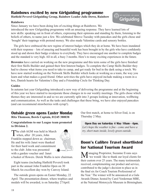### **Rainbows excited by new Girlguiding programme**

**Hatfield Peverel Girlguiding Group, Rainbow Leader Julie Down, Rainbow**

#### **Rainbows**

Since January we have been doing lots of exciting things at Rainbows. We



introduced the new Girlguiding programme with an amazing response. They have learned lots of new skills: speaking out in front of others, expressing their opinions and standing by them, listening to the beliefs of others, to name just a few. We celebrated Shrove Tuesday with pancakes and the girls chose and 'bought' their toppings with pretend money. We also made Valentine cards and sensory bottles.

The girls have embraced the new regime of interest badges which they do at home. We have been inundated with their response – lots of amazing and beautiful work has been brought in by the girls who have confidently stood up and shown their badge evidence to everybody. They have encouraged one another to complete badges and the standard is very high. All in all, a busy 3 months. Here's to many exciting experiences in the future.

**Brownies** have carried on working on the new programme and this term some of the girls have finished their first Skills Builder and gained their first Interest badges. To complete the Camp Skills Builder they had to choose what items you need to take to camp, and get ready for bed in the dark using a torch. We have now started working on the Network Skills Builder which looks at working as a team, the way you learn and what makes a good friend. Other activities the girls have enjoyed include making a room in a box, Danish hearts for Valentine's Day and a Friendship Circle for Thinking Day.

#### **Guides**

In autumn last year Girlguiding introduced a new way of delivering the programme and at the beginning of this year we have started to incorporate those changes in to our weekly meetings. The girls chose which themes they are interested in and so we are currently split into 3 groups looking at innovation, wellbeing and communication. As well as the tasks and challenges that these bring, we have also enjoyed pancakes (and can recommend strawberries with syrup!).

### **Outside green opens Easter Monday**

**Rita Thomson, Bowls Captain, 01245 380038**

#### **Congratulations to our League team promoted to Division 2.**

The club AGM was held in March when, after 20 years, John Franklin stepped down as chairman. He and his wife Janet were thanked for their hard work and commitment to the club: John was presented with a garden voucher and Janet



a basket of flowers. Derek Wallis is new chairman.

Eight teams (including Hatfield Peverel) took part in the annual John Franklin Open on 30 March An excellent day won by Canvey Island.

The outside green opens on Easter Monday, 22 April. The presentation dinner, where trophies and medals will be awarded, is on Saturday 27April.

Our first match, at home to Silver End, is on Thursday 2 May.

**Open Day on Saturday 4 May 10am - 4pm.**  *Let's hope the weather is fine - come and have a try, short mats inside, lovely green outside.*

### **Boon's Calibre Travel shortlisted for National Tourism Award**

Managing Proprietor, Suzanne Evans says<br>
"we would like to thank our loyal clients for their custom over 25 years. The many testimonials received, complementing our product and service, contributed to the judge's decision to place us in the final six for Coach Tourism Professional of the Year.' The winner will be announced at a Gala Awards Dinner, hosted by Carol Vorderman MBE, at the National Motorcycle Museum in Birmingham.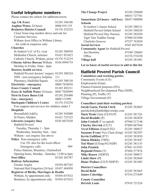### **Useful telephone numbers**

Please contact the editors for additions/errors.

| <b>Age UK Essex</b>                                | 01245 346106 |  |
|----------------------------------------------------|--------------|--|
| Anglian Water, 24 hours                            | 0800 919 155 |  |
| <b>Braintree District Council</b>                  | 01376 552525 |  |
| Clean Team ring number above and ask for           |              |  |
| <b>Customer Services</b>                           |              |  |
| Witham Area Office in Witham Library               |              |  |
| - for walk-in enquiries only                       |              |  |
| <b>Churches</b>                                    |              |  |
| St Andrew's (C of E), vicar                        | 01245 380958 |  |
| Methodist Church, minister                         | 01621 853423 |  |
| Catholic Church, Witham, priest                    | 01376 512219 |  |
| <b>Citizens Advice Bureau Witham</b>               | 0344 4994719 |  |
| Monday to Friday 10am - 4pm                        |              |  |
| Doctors, health services                           |              |  |
| Hatfield Peverel doctors' surgery                  | 01245 380324 |  |
| NHS - non-emergency helpline                       | 111          |  |
| Pharmacy, Hadfelda Square                          | 01245 380130 |  |
| <b>Electricity - emergency</b>                     | 0800 7838838 |  |
| <b>Essex County Council</b>                        | 01245 492211 |  |
| Essex & Suffolk Water 24 hours                     | 0845 7820999 |  |
| <b>First In Essex Buses Ltd</b>                    | 01245 293400 |  |
| Gas - emergency                                    | 0800 111999  |  |
| <b>Harlequin Children's Centre</b>                 | 01376 535270 |  |
| Free support and services for children under 5     |              |  |
| <b>Hospitals</b>                                   |              |  |
| Broomfield (A&E);                                  | 01245 362000 |  |
| St Peters, Maldon                                  | 01621 725323 |  |
| Libraries (enquiry line)                           | 0345 6037628 |  |
| <b>Hatfield Peverel</b>                            |              |  |
| Tuesday, Thursday 1 - 5pm                          |              |  |
| Wednesday, Saturday 9am - 1pm                      |              |  |
| Witham - use enquiry line above                    |              |  |
| Police Non-emergency calls                         | 101          |  |
| Use 101 also for the local officer                 |              |  |
| Emergency calls                                    | 999          |  |
| Police Stations, Braintree, Chelmsford             |              |  |
| Opening hours, Monday - Saturday, 12.00 to 6pm     |              |  |
| <b>Post Office</b>                                 | 01245 382787 |  |
| <b>Railway Information</b>                         |              |  |
| Greater Anglia                                     | 03456 007245 |  |
| National Rail Enquiries (24 hrs)                   | 03457 484950 |  |
| <b>Registrar of Births, Marriages &amp; Deaths</b> |              |  |
| Witham, by appointment only                        | 03456 037632 |  |
| Braintree, by appointment only                     | 03456 037632 |  |
|                                                    |              |  |

| <b>The Change Project</b>                   | 01245 258680 |  |
|---------------------------------------------|--------------|--|
|                                             | 08453 727701 |  |
| Samaritans (24 hours - toll free)           | 08457 909090 |  |
| <b>Schools</b>                              |              |  |
| St Andrew's Junior School                   | 01245 380131 |  |
| Hatfield Peverel Infant School              | 01245 380220 |  |
| Hatfield Peverel Day Nursery                | 01245 382450 |  |
| Tiger Tots Toddler Group                    | 07886 021048 |  |
| <b>Charlotte Greaves</b>                    | 07527 763038 |  |
| <b>Social Services</b>                      | 0345 6037630 |  |
| <b>Community Agent for Hatfield Peverel</b> |              |  |
| Jan Hawkins                                 | 07540 720605 |  |
| Office                                      | 01376 574330 |  |
| Village hall                                | 01245381481  |  |

**Let us know of useful services to add to this list**

### **Hatfield Peverel Parish Council**

### **Committees and working parties**

Community Events (CE) Employment (Emp), Finance/General purposes (FG), Neighbourhood Development Plan (NDP), Planning (P), Traffic (T) Village Environment (E)

#### **Councillors (and their working parties)**

| Sarah Gaeta, Parish Clerk             | 01245 382865 |
|---------------------------------------|--------------|
| parishclerk@hatfieldpeverelpc.com     |              |
| Mark Weale Chair (CE/FG/P)            | 01245 381726 |
| David Broddle (P)                     | 01245 382829 |
| John Cockell (T co-opted)             | 07940 217148 |
| <b>Charley Dervish (CE/T)</b>         | 07809 687944 |
| Marel Elliston (Emp/E/FG)             | 01245 380827 |
| <b>Suzanne Evans</b> Vice Chair (Emp) | 01245 382397 |
| Kevin Gallifant $(P/T)$               | 01245 381850 |
| <b>Simon Hinkley (TBN)</b>            | 01245 381847 |
| Ted Munt (E/Emp/FG/NDP)               | 01245 381135 |
| <b>John Pennick</b>                   | 07881 415383 |
| <b>Reginald Peters (T)</b>            | 07484 377876 |
| Mike Renow (NDP/P)                    | 01245 380071 |
| Linda Shaw $(P)$                      | 01245 382669 |
| Diane Wallace (CE/E/NDP/P)            | 01245 381485 |
| <b>District Councillors</b>           |              |
| <b>David Bebb</b>                     | 01245 381065 |
| <b>James Coleridge</b>                | 07534 275449 |
| <b>County Councillor</b>              |              |
| <b>Derrick Louis</b>                  | 07918 721526 |